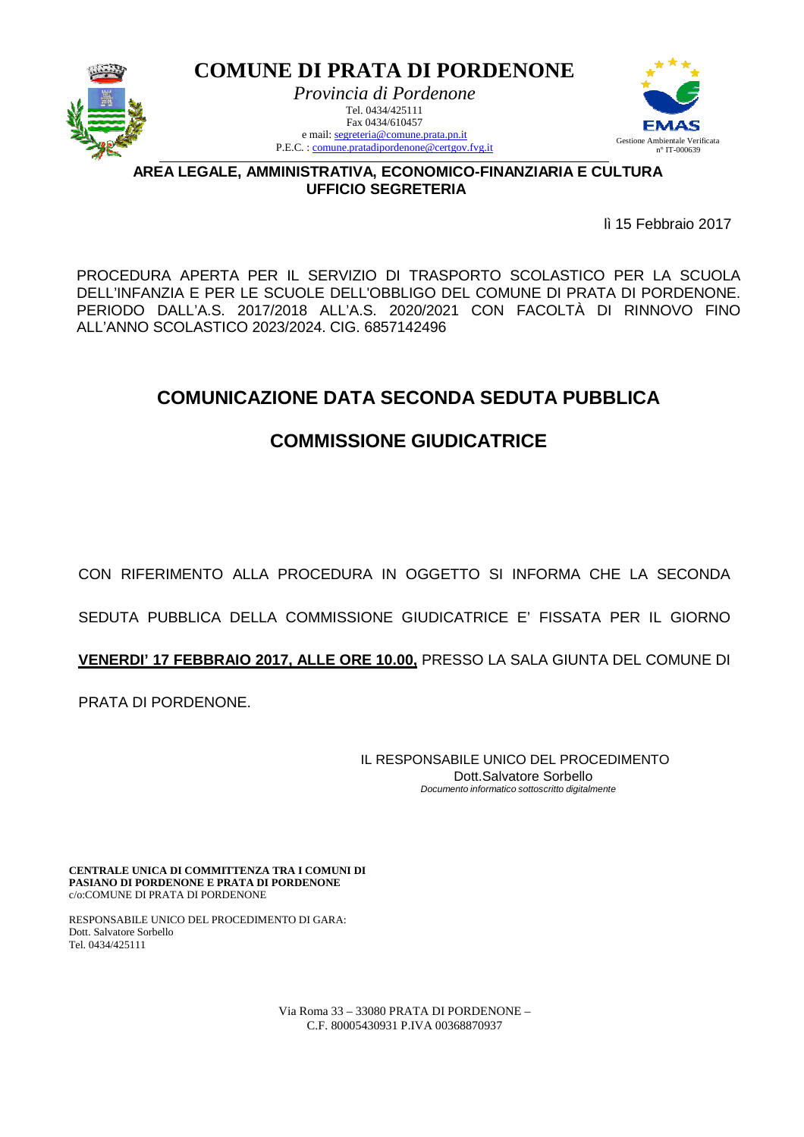

**COMUNE DI PRATA DI PORDENONE**  *Provincia di Pordenone*  Tel. 0434/425111 Fax 0434/610457 e mail: segreteria@comune.prata.pn.it

P.E.C. : comune.pratadipordenone@certgov.fvg.it



**AREA LEGALE, AMMINISTRATIVA, ECONOMICO-FINANZIARIA E CULTURA UFFICIO SEGRETERIA**

lì 15 Febbraio 2017

PROCEDURA APERTA PER IL SERVIZIO DI TRASPORTO SCOLASTICO PER LA SCUOLA DELL'INFANZIA E PER LE SCUOLE DELL'OBBLIGO DEL COMUNE DI PRATA DI PORDENONE. PERIODO DALL'A.S. 2017/2018 ALL'A.S. 2020/2021 CON FACOLTÀ DI RINNOVO FINO ALL'ANNO SCOLASTICO 2023/2024. CIG. 6857142496

## **COMUNICAZIONE DATA SECONDA SEDUTA PUBBLICA**

## **COMMISSIONE GIUDICATRICE**

CON RIFERIMENTO ALLA PROCEDURA IN OGGETTO SI INFORMA CHE LA SECONDA

SEDUTA PUBBLICA DELLA COMMISSIONE GIUDICATRICE E' FISSATA PER IL GIORNO

**VENERDI' 17 FEBBRAIO 2017, ALLE ORE 10.00,** PRESSO LA SALA GIUNTA DEL COMUNE DI

PRATA DI PORDENONE.

IL RESPONSABILE UNICO DEL PROCEDIMENTO Dott.Salvatore Sorbello Documento informatico sottoscritto digitalmente

**CENTRALE UNICA DI COMMITTENZA TRA I COMUNI DI PASIANO DI PORDENONE E PRATA DI PORDENONE** c/o:COMUNE DI PRATA DI PORDENONE

RESPONSABILE UNICO DEL PROCEDIMENTO DI GARA: Dott. Salvatore Sorbello Tel. 0434/425111

> Via Roma 33 – 33080 PRATA DI PORDENONE – C.F. 80005430931 P.IVA 00368870937